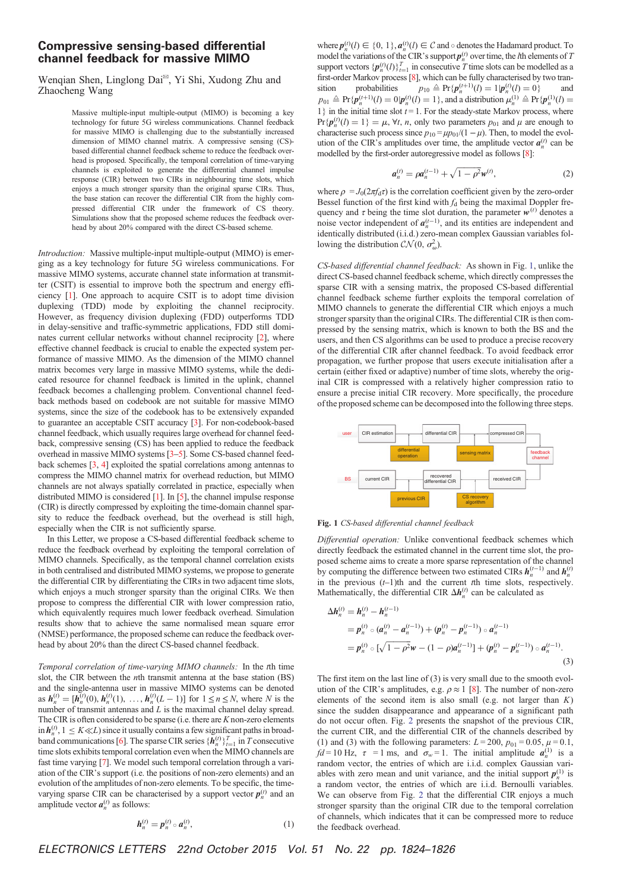## Compressive sensing-based differential channel feedback for massive MIMO

Wenqian Shen, Linglong Dai✉, Yi Shi, Xudong Zhu and Zhaocheng Wang

> Massive multiple-input multiple-output (MIMO) is becoming a key technology for future 5G wireless communications. Channel feedback for massive MIMO is challenging due to the substantially increased dimension of MIMO channel matrix. A compressive sensing (CS) based differential channel feedback scheme to reduce the feedback overhead is proposed. Specifically, the temporal correlation of time-varying channels is exploited to generate the differential channel impulse response (CIR) between two CIRs in neighbouring time slots, which enjoys a much stronger sparsity than the original sparse CIRs. Thus, the base station can recover the differential CIR from the highly compressed differential CIR under the framework of CS theory. Simulations show that the proposed scheme reduces the feedback overhead by about 20% compared with the direct CS-based scheme.

Introduction: Massive multiple-input multiple-output (MIMO) is emerging as a key technology for future 5G wireless communications. For massive MIMO systems, accurate channel state information at transmitter (CSIT) is essential to improve both the spectrum and energy efficiency [1]. One approach to acquire CSIT is to adopt time division duplexing (TDD) mode by exploiting the channel reciprocity. However, as frequency division duplexing (FDD) outperforms TDD in delay-sensitive and traffic-symmetric applications, FDD still dominates current cellular networks without channel reciprocity [2], where effective channel feedback is crucial to enable the expected system performance of massive MIMO. As the dimension of the MIMO channel matrix becomes very large in massive MIMO systems, while the dedicated resource for channel feedback is limited in the uplink, channel feedback becomes a challenging problem. Conventional channel feedback methods based on codebook are not suitable for massive MIMO systems, since the size of the codebook has to be extensively expanded to guarantee an acceptable CSIT accuracy [3]. For non-codebook-based channel feedback, which usually requires large overhead for channel feedback, compressive sensing (CS) has been applied to reduce the feedback overhead in massive MIMO systems [3–5]. Some CS-based channel feedback schemes [3, 4] exploited the spatial correlations among antennas to compress the MIMO channel matrix for overhead reduction, but MIMO channels are not always spatially correlated in practice, especially when distributed MIMO is considered [1]. In [5], the channel impulse response (CIR) is directly compressed by exploiting the time-domain channel sparsity to reduce the feedback overhead, but the overhead is still high, especially when the CIR is not sufficiently sparse.

In this Letter, we propose a CS-based differential feedback scheme to reduce the feedback overhead by exploiting the temporal correlation of MIMO channels. Specifically, as the temporal channel correlation exists in both centralised and distributed MIMO systems, we propose to generate the differential CIR by differentiating the CIRs in two adjacent time slots, which enjoys a much stronger sparsity than the original CIRs. We then propose to compress the differential CIR with lower compression ratio, which equivalently requires much lower feedback overhead. Simulation results show that to achieve the same normalised mean square error (NMSE) performance, the proposed scheme can reduce the feedback overhead by about 20% than the direct CS-based channel feedback.

Temporal correlation of time-varying MIMO channels: In the tth time slot, the CIR between the nth transmit antenna at the base station (BS) and the single-antenna user in massive MIMO systems can be denoted as  $h_n^{(t)} = [h_n^{(t)}(0), h_n^{(t)}(1), \dots, h_n^{(t)}(L-1)]$  for  $1 \le n \le N$ , where N is the number of transmit antennas and L is the maximal channel delay spread. The CIR is often considered to be sparse (i.e. there are  $K$  non-zero elements in  $h_n^{(t)}$ ,  $1 \le K \ll L$ ) since it usually contains a few significant paths in broadband communications [6]. The sparse CIR series  $\{\boldsymbol{h}_n^{(t)}\}_{t=1}^T$  in T consecutive time slots exhibits temporal correlation even when the MIMO channels are fast time varying [7]. We model such temporal correlation through a variation of the CIR's support (i.e. the positions of non-zero elements) and an evolution of the amplitudes of non-zero elements. To be specific, the timevarying sparse CIR can be characterised by a support vector  $p_n^{(t)}$  and an amplitude vector  $a_n^{(t)}$  as follows:

$$
\boldsymbol{h}_n^{(t)} = \boldsymbol{p}_n^{(t)} \circ \boldsymbol{a}_n^{(t)},\tag{1}
$$

where  $p_n^{(t)}(l) \in \{0, 1\}, a_n^{(t)}(l) \in \mathcal{C}$  and  $\circ$  denotes the Hadamard product. To model the variations of the CIR's support  $p_n^{(t)}$  over time, the *l*th elements of T support vectors  $\{p_n^{(t)}(l)\}_{t=1}^T$  in consecutive T time slots can be modelled as a first-order Markov process [8], which can be fully characterised by two transition probabilities  $p_{10} \triangleq \Pr\{p_n^{(t+1)}(l) = 1 | p_n^{(t)}(l) = 0\}$  and  $p_{01} \triangleq \Pr\{p_n^{(t+1)}(l) = 0 | p_n^{(t)}(l) = 1\}$ , and a distribution  $\mu_n^{(1)} \triangleq \Pr\{p_n^{(1)}(l) = 1\}$ 1} in the initial time slot  $t = 1$ . For the steady-state Markov process, where  $Pr{\lbrace p_n^{(t)}(l) = 1 \rbrace} = \mu$ ,  $\forall t, n$ , only two parameters  $p_{01}$  and  $\mu$  are enough to characterise such process since  $p_{10} = \mu p_{01}/(1 - \mu)$ . Then, to model the evolution of the CIR's amplitudes over time, the amplitude vector  $a_n^{(t)}$  can be modelled by the first-order autoregressive model as follows [8]:

$$
a_n^{(t)} = \rho a_n^{(t-1)} + \sqrt{1 - \rho^2} w^{(t)},
$$
\n(2)

where  $\rho = J_0(2\pi f_d \tau)$  is the correlation coefficient given by the zero-order Bessel function of the first kind with  $f_d$  being the maximal Doppler frequency and  $\tau$  being the time slot duration, the parameter  $w^{(t)}$  denotes a noise vector independent of  $a_n^{(t-1)}$ , and its entities are independent and identically distributed (i.i.d.) zero-mean complex Gaussian variables following the distribution  $\mathcal{CN}(0, \sigma_{\omega}^2)$ .

CS-based differential channel feedback: As shown in Fig. 1, unlike the direct CS-based channel feedback scheme, which directly compresses the sparse CIR with a sensing matrix, the proposed CS-based differential channel feedback scheme further exploits the temporal correlation of MIMO channels to generate the differential CIR which enjoys a much stronger sparsity than the original CIRs. The differential CIR is then compressed by the sensing matrix, which is known to both the BS and the users, and then CS algorithms can be used to produce a precise recovery of the differential CIR after channel feedback. To avoid feedback error propagation, we further propose that users execute initialisation after a certain (either fixed or adaptive) number of time slots, whereby the original CIR is compressed with a relatively higher compression ratio to ensure a precise initial CIR recovery. More specifically, the procedure of the proposed scheme can be decomposed into the following three steps.



Fig. 1 CS-based differential channel feedback

Differential operation: Unlike conventional feedback schemes which directly feedback the estimated channel in the current time slot, the proposed scheme aims to create a more sparse representation of the channel by computing the difference between two estimated CIRs  $h_n^{(t-1)}$  and  $h_n^{(t)}$ in the previous  $(t-1)$ th and the current the time slots, respectively. Mathematically, the differential CIR  $\Delta h_n^{(t)}$  can be calculated as

$$
\Delta h_n^{(t)} = h_n^{(t)} - h_n^{(t-1)}
$$
  
=  $p_n^{(t)} \circ (a_n^{(t)} - a_n^{(t-1)}) + (p_n^{(t)} - p_n^{(t-1)}) \circ a_n^{(t-1)}$   
=  $p_n^{(t)} \circ [\sqrt{1 - \rho^2} w - (1 - \rho) a_n^{(t-1)}] + (p_n^{(t)} - p_n^{(t-1)}) \circ a_n^{(t-1)}$ . (3)

The first item on the last line of (3) is very small due to the smooth evolution of the CIR's amplitudes, e.g.  $\rho \approx 1$  [8]. The number of non-zero elements of the second item is also small (e.g. not larger than  $K$ ) since the sudden disappearance and appearance of a significant path do not occur often. Fig. 2 presents the snapshot of the previous CIR, the current CIR, and the differential CIR of the channels described by (1) and (3) with the following parameters:  $L = 200$ ,  $p_{01} = 0.05$ ,  $\mu = 0.1$ ,  $fd = 10$  Hz,  $\tau = 1$  ms, and  $\sigma_w = 1$ . The initial amplitude  $a_n^{(1)}$  is a random vector, the entries of which are i.i.d. complex Gaussian variables with zero mean and unit variance, and the initial support  $p_n^{(1)}$  is a random vector, the entries of which are i.i.d. Bernoulli variables. We can observe from Fig. 2 that the differential CIR enjoys a much stronger sparsity than the original CIR due to the temporal correlation of channels, which indicates that it can be compressed more to reduce the feedback overhead.

ELECTRONICS LETTERS 22nd October 2015 Vol. 51 No. 22 pp. 1824–1826